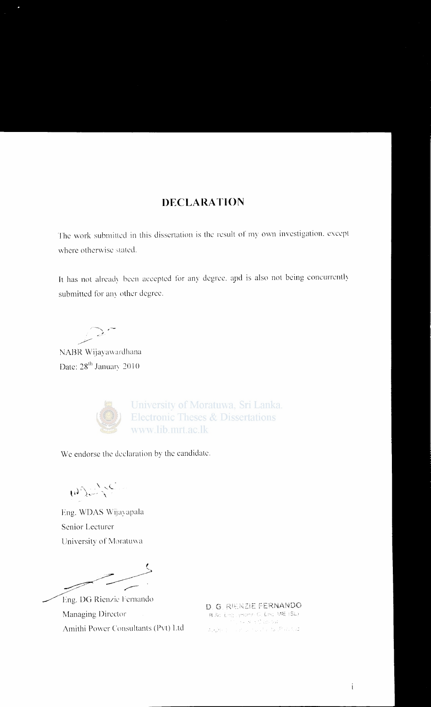#### **DECLARATION**

The work submitted in this dissertation is the result of my own investigation, except where otherwise stated.

It has not already been accepted for any degree, and is also not being concurrently submitted for any other degree.

NABR Wijayawardhana Date: 28<sup>th</sup> January 2010



University of Moratuwa, Sri Lanka. **Electronic Theses & Dissertations** www.lib.mrt.ac.lk

We endorse the declaration by the candidate.

WILLE

Eng. WDAS Wijayapala Senior Lecturer University of Moratuwa

Eng. DG Rienzie Fernando Managing Director Amithi Power Consultants (Pvt) Ltd

D. G. RIENZIE FERNANDO 8 Sc. Engl. (Honel C. Eng. MIE (SL) provincial and an Added to a substantial manual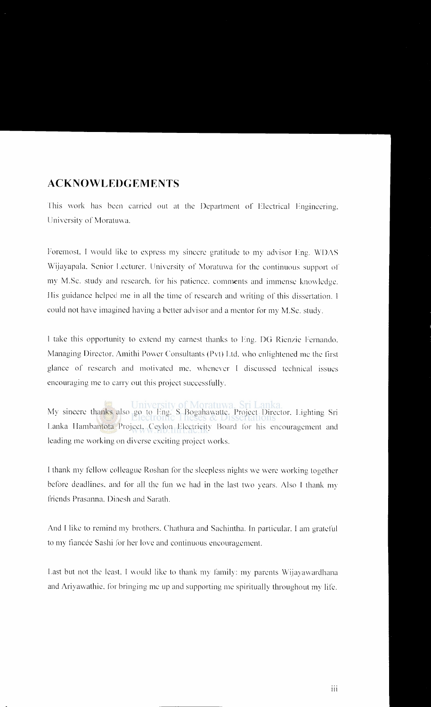#### **ACKNOWLEDGEMENTS**

This work has been carried out at the Department of Electrical Engineering. University of Moratuwa.

Foremost, I would like to express my sincere gratitude to my advisor Fng. WDAS Wijayapala, Senior Leeturer. University of Moratuwa for the continuous support of my M.Sc. study and research. for his patience, comments and immense knowledge. His guidance helped me in all the time of research and writing of this dissertation. I could not have imagined having a better advisor and a mentor for my M.Sc. study.

I take this opportunity to extend my earnest thanks to Eng. DG Rienzie Fernando. Managing Director, Amithi Power Consultants (Pvt) Ltd. who enlightened me the first glance of research and motivated me, whenever I discussed technical issues encouraging me to carry out this project successfully.

My sincere thanks also go to Eng. S Bogahawatte. Project Director. Lighting Sri Lanka Ilambantota Project. Ceylon Electricity Board for his encouragement and leading me working on diverse exciting project works.

I thank my fcllO\v colleague Roshan for the sleepless nights we were working together before deadlines, and for all the fun we had in the last two years. Also I thank my friends Prasanna. Dincsh and Sarath.

And I like to remind my brothers. Chathura and Sachintha. In particular, I am grateful to my fiancée Sashi for her love and continuous encouragement.

Last but not the least. I would like to thank my family: my parents Wijayawardhana and Ariyawathie. for bringing me up and supporting me spiritually throughout my lite.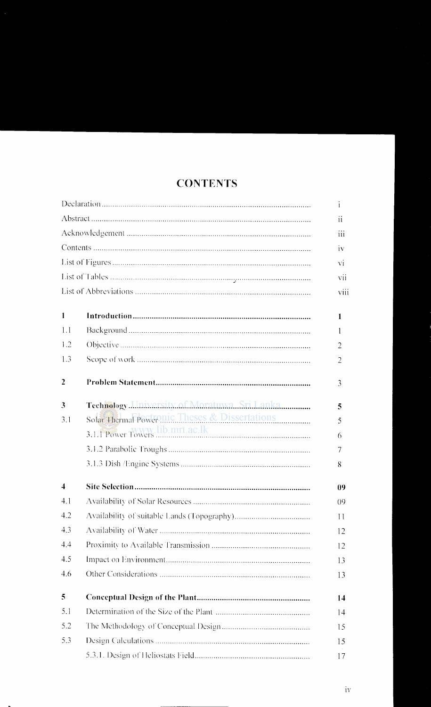|                         |                                                | $\mathbf{1}$ |  |
|-------------------------|------------------------------------------------|--------------|--|
|                         |                                                | 11           |  |
|                         |                                                |              |  |
|                         |                                                | iv           |  |
|                         |                                                | Vİ.          |  |
|                         |                                                | vii          |  |
|                         |                                                | viii         |  |
| 1                       |                                                | 1            |  |
| 1.1                     |                                                | $\mathbf{I}$ |  |
| 1.2                     |                                                | 2            |  |
| 1.3                     |                                                | 2            |  |
| $\overline{2}$          |                                                | 3            |  |
| 3                       | Technology.LIniversity.of.MoratuwaSri.Lanka    | 5            |  |
| 3.1                     | Solar Thermal Power nic Theses & Dissertations | 5            |  |
|                         |                                                | 6            |  |
|                         |                                                | 7            |  |
|                         |                                                | 8            |  |
| $\overline{\mathbf{4}}$ |                                                | 09           |  |
| 4.1                     |                                                | 09           |  |
| 4.2                     |                                                | 11           |  |
| 4.3                     |                                                | 12           |  |
| 4.4                     |                                                | 12           |  |
| 4.5                     |                                                | 13           |  |
| 4.6                     |                                                | 13           |  |
| 5                       |                                                | 14           |  |
| 5.1                     |                                                | 14           |  |
| 5.2                     |                                                | 15           |  |
| 5.3                     |                                                | 15           |  |
|                         |                                                | 17           |  |

## **CONTENTS**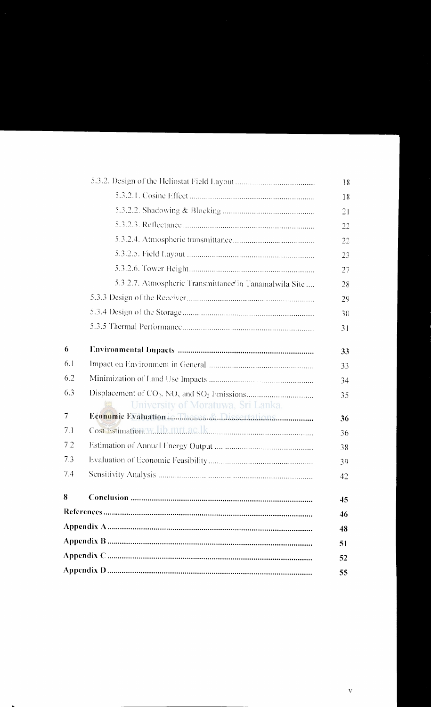|     |                                                        | 18 |  |
|-----|--------------------------------------------------------|----|--|
|     |                                                        | 21 |  |
|     |                                                        | 22 |  |
|     |                                                        | 22 |  |
|     |                                                        | 23 |  |
|     |                                                        | 27 |  |
|     | 5.3.2.7. Atmospheric Transmittance in Tanamalwila Site | 28 |  |
|     |                                                        | 29 |  |
|     |                                                        | 30 |  |
|     |                                                        | 31 |  |
| 6   |                                                        | 33 |  |
| 6.1 |                                                        | 33 |  |
| 6.2 |                                                        | 34 |  |
| 6.3 | University of Moratuwa, Sri Lanka.                     | 35 |  |
| 7   | Economic Evaluation in Theses & Dissertations          | 36 |  |
| 7.1 |                                                        | 36 |  |
| 7.2 |                                                        | 38 |  |
| 7.3 |                                                        | 39 |  |
| 7.4 |                                                        | 42 |  |
| 8   |                                                        | 45 |  |
|     |                                                        | 46 |  |
|     |                                                        |    |  |
|     |                                                        |    |  |
|     |                                                        |    |  |
| 55  |                                                        |    |  |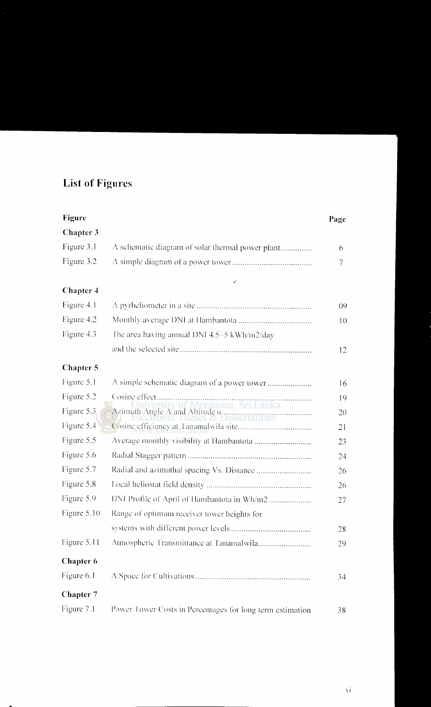# **List of Figures**

| <b>Figure</b>    |                                                                  | Page   |
|------------------|------------------------------------------------------------------|--------|
| Chapter 3        |                                                                  |        |
| Figure 3.1       | A schematic diagram of solar thermal power plant                 | 6      |
| Figure 3.2       |                                                                  | $\tau$ |
| Chapter 4        | z                                                                |        |
| Figure 4.1       |                                                                  | 09     |
| Figure 4.2       |                                                                  | 10     |
| Figure 4.3       | The area having annual DNI 4.5~5 kWh/m2/day                      |        |
|                  |                                                                  | 12     |
| Chapter 5        |                                                                  |        |
| Figure 5.1       | A simple schematic diagram of a power tower                      | 16     |
| Figure 5.2       |                                                                  | 19     |
| Figure 5.3       | $\Lambda$ zimuth Angle A and Altitude $\alpha$ Section 2018<br>. | 20     |
| Figure 5.4       |                                                                  | 21     |
| Figure 5.5       |                                                                  | 23     |
| Figure 5.6       |                                                                  | 24     |
| Figure 5.7       |                                                                  | 26     |
| Figure 5.8       |                                                                  | 26     |
| Figure 5.9       | DNI Profile of April of Hambantota in Wh/m2                      | 27     |
| Figure 5.10      | Range of optimum receiver tower heights for                      |        |
|                  |                                                                  | 28     |
| Figure 5.11      | Atmospheric Transmittance at Tanamalwila                         | 29     |
| Chapter 6        |                                                                  |        |
| Figure 6.1       |                                                                  | 34     |
| <b>Chapter 7</b> |                                                                  |        |
| Figure 7.1       | Power Tower Costs in Percentages for long term estimation        | 38     |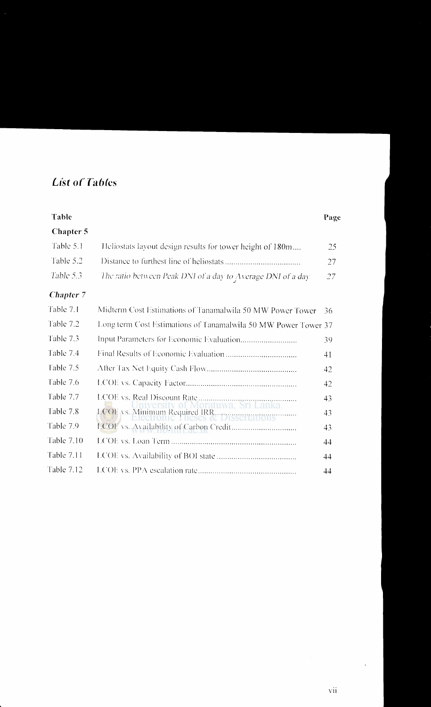### **List of Tables**

|                                                             | Page                                                                                                                                   |
|-------------------------------------------------------------|----------------------------------------------------------------------------------------------------------------------------------------|
|                                                             |                                                                                                                                        |
| Heliostats layout design results for tower height of 180m   | 25                                                                                                                                     |
|                                                             | 27                                                                                                                                     |
| The ratio between Peak DNI of a day to Average DNI of a day | 27                                                                                                                                     |
|                                                             |                                                                                                                                        |
| Midterm Cost Estimations of Tanamalwila 50 MW Power Tower   | 36                                                                                                                                     |
|                                                             |                                                                                                                                        |
|                                                             | 39                                                                                                                                     |
|                                                             | 41                                                                                                                                     |
|                                                             | 42                                                                                                                                     |
|                                                             | 42                                                                                                                                     |
|                                                             | 43                                                                                                                                     |
|                                                             | 43                                                                                                                                     |
|                                                             | 43                                                                                                                                     |
|                                                             | 44                                                                                                                                     |
|                                                             | 44                                                                                                                                     |
|                                                             | 44                                                                                                                                     |
|                                                             | Long term Cost Estimations of Tanamalwila 50 MW Power Tower 37<br>loratuwa, Sri Lanka.<br>LCOU vs. Minimum Required IRR. DISSETTATIONS |

 $\chi$